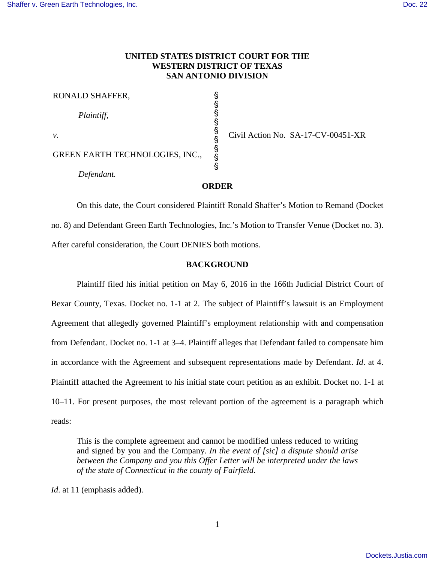## **UNITED STATES DISTRICT COURT FOR THE WESTERN DISTRICT OF TEXAS SAN ANTONIO DIVISION**

§ § § § § § § § §

RONALD SHAFFER,

*Plaintiff*,

*v*.

GREEN EARTH TECHNOLOGIES, INC.,

*Defendant.*

Civil Action No. SA-17-CV-00451-XR

#### **ORDER**

On this date, the Court considered Plaintiff Ronald Shaffer's Motion to Remand (Docket no. 8) and Defendant Green Earth Technologies, Inc.'s Motion to Transfer Venue (Docket no. 3). After careful consideration, the Court DENIES both motions.

## **BACKGROUND**

Plaintiff filed his initial petition on May 6, 2016 in the 166th Judicial District Court of Bexar County, Texas. Docket no. 1-1 at 2. The subject of Plaintiff's lawsuit is an Employment Agreement that allegedly governed Plaintiff's employment relationship with and compensation from Defendant. Docket no. 1-1 at 3–4. Plaintiff alleges that Defendant failed to compensate him in accordance with the Agreement and subsequent representations made by Defendant. *Id*. at 4. Plaintiff attached the Agreement to his initial state court petition as an exhibit. Docket no. 1-1 at 10–11. For present purposes, the most relevant portion of the agreement is a paragraph which reads:

This is the complete agreement and cannot be modified unless reduced to writing and signed by you and the Company. *In the event of [sic] a dispute should arise between the Company and you this Offer Letter will be interpreted under the laws of the state of Connecticut in the county of Fairfield*.

*Id*. at 11 (emphasis added).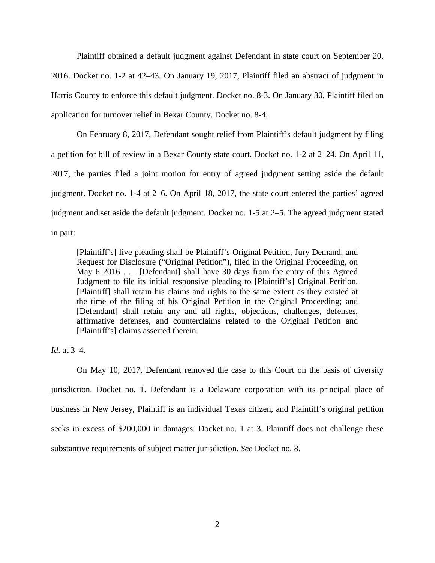Plaintiff obtained a default judgment against Defendant in state court on September 20, 2016. Docket no. 1-2 at 42–43. On January 19, 2017, Plaintiff filed an abstract of judgment in Harris County to enforce this default judgment. Docket no. 8-3. On January 30, Plaintiff filed an application for turnover relief in Bexar County. Docket no. 8-4.

On February 8, 2017, Defendant sought relief from Plaintiff's default judgment by filing a petition for bill of review in a Bexar County state court. Docket no. 1-2 at 2–24. On April 11, 2017, the parties filed a joint motion for entry of agreed judgment setting aside the default judgment. Docket no. 1-4 at 2–6. On April 18, 2017, the state court entered the parties' agreed judgment and set aside the default judgment. Docket no. 1-5 at 2–5. The agreed judgment stated in part:

[Plaintiff's] live pleading shall be Plaintiff's Original Petition, Jury Demand, and Request for Disclosure ("Original Petition"), filed in the Original Proceeding, on May 6 2016 . . . [Defendant] shall have 30 days from the entry of this Agreed Judgment to file its initial responsive pleading to [Plaintiff's] Original Petition. [Plaintiff] shall retain his claims and rights to the same extent as they existed at the time of the filing of his Original Petition in the Original Proceeding; and [Defendant] shall retain any and all rights, objections, challenges, defenses, affirmative defenses, and counterclaims related to the Original Petition and [Plaintiff's] claims asserted therein.

*Id*. at 3–4.

On May 10, 2017, Defendant removed the case to this Court on the basis of diversity jurisdiction. Docket no. 1. Defendant is a Delaware corporation with its principal place of business in New Jersey, Plaintiff is an individual Texas citizen, and Plaintiff's original petition seeks in excess of \$200,000 in damages. Docket no. 1 at 3. Plaintiff does not challenge these substantive requirements of subject matter jurisdiction. *See* Docket no. 8.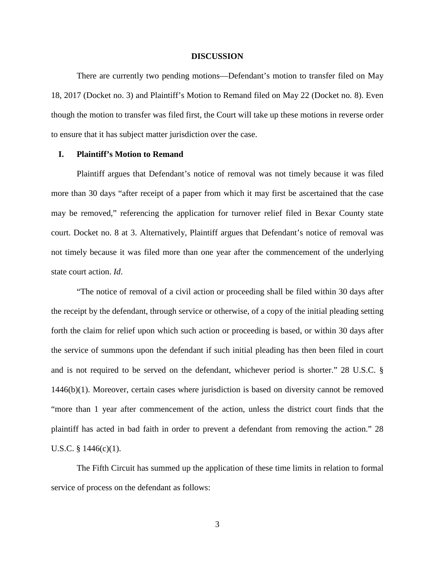#### **DISCUSSION**

There are currently two pending motions—Defendant's motion to transfer filed on May 18, 2017 (Docket no. 3) and Plaintiff's Motion to Remand filed on May 22 (Docket no. 8). Even though the motion to transfer was filed first, the Court will take up these motions in reverse order to ensure that it has subject matter jurisdiction over the case.

#### **I. Plaintiff's Motion to Remand**

Plaintiff argues that Defendant's notice of removal was not timely because it was filed more than 30 days "after receipt of a paper from which it may first be ascertained that the case may be removed," referencing the application for turnover relief filed in Bexar County state court. Docket no. 8 at 3. Alternatively, Plaintiff argues that Defendant's notice of removal was not timely because it was filed more than one year after the commencement of the underlying state court action. *Id*.

"The notice of removal of a civil action or proceeding shall be filed within 30 days after the receipt by the defendant, through service or otherwise, of a copy of the initial pleading setting forth the claim for relief upon which such action or proceeding is based, or within 30 days after the service of summons upon the defendant if such initial pleading has then been filed in court and is not required to be served on the defendant, whichever period is shorter." 28 U.S.C. § 1446(b)(1). Moreover, certain cases where jurisdiction is based on diversity cannot be removed "more than 1 year after commencement of the action, unless the district court finds that the plaintiff has acted in bad faith in order to prevent a defendant from removing the action." 28 U.S.C. § 1446(c)(1).

The Fifth Circuit has summed up the application of these time limits in relation to formal service of process on the defendant as follows:

3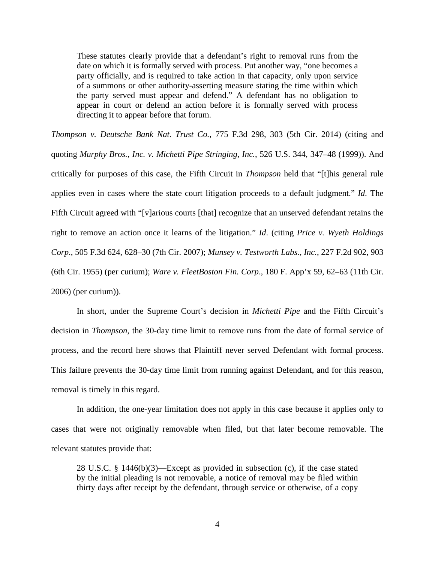These statutes clearly provide that a defendant's right to removal runs from the date on which it is formally served with process. Put another way, "one becomes a party officially, and is required to take action in that capacity, only upon service of a summons or other authority-asserting measure stating the time within which the party served must appear and defend." A defendant has no obligation to appear in court or defend an action before it is formally served with process directing it to appear before that forum.

*Thompson v. Deutsche Bank Nat. Trust Co.*, 775 F.3d 298, 303 (5th Cir. 2014) (citing and quoting *Murphy Bros., Inc. v. Michetti Pipe Stringing, Inc.*, 526 U.S. 344, 347–48 (1999)). And critically for purposes of this case, the Fifth Circuit in *Thompson* held that "[t]his general rule applies even in cases where the state court litigation proceeds to a default judgment." *Id*. The Fifth Circuit agreed with "[v]arious courts [that] recognize that an unserved defendant retains the right to remove an action once it learns of the litigation." *Id*. (citing *Price v. Wyeth Holdings Corp*., 505 F.3d 624, 628–30 (7th Cir. 2007); *Munsey v. Testworth Labs., Inc.*, 227 F.2d 902, 903 (6th Cir. 1955) (per curium); *Ware v. FleetBoston Fin. Corp*., 180 F. App'x 59, 62–63 (11th Cir. 2006) (per curium)).

In short, under the Supreme Court's decision in *Michetti Pipe* and the Fifth Circuit's decision in *Thompson*, the 30-day time limit to remove runs from the date of formal service of process, and the record here shows that Plaintiff never served Defendant with formal process. This failure prevents the 30-day time limit from running against Defendant, and for this reason, removal is timely in this regard.

In addition, the one-year limitation does not apply in this case because it applies only to cases that were not originally removable when filed, but that later become removable. The relevant statutes provide that:

28 U.S.C. § 1446(b)(3)—Except as provided in subsection (c), if the case stated by the initial pleading is not removable, a notice of removal may be filed within thirty days after receipt by the defendant, through service or otherwise, of a copy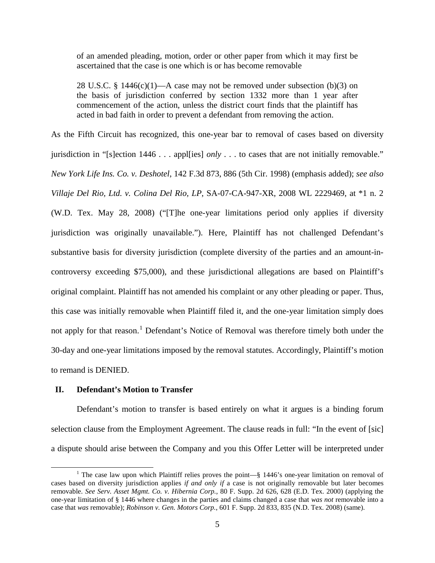of an amended pleading, motion, order or other paper from which it may first be ascertained that the case is one which is or has become removable

28 U.S.C. § 1446 $(c)(1)$ —A case may not be removed under subsection (b)(3) on the basis of jurisdiction conferred by section 1332 more than 1 year after commencement of the action, unless the district court finds that the plaintiff has acted in bad faith in order to prevent a defendant from removing the action.

As the Fifth Circuit has recognized, this one-year bar to removal of cases based on diversity jurisdiction in "[s]ection 1446 . . . appl[ies] *only* . . . to cases that are not initially removable." *New York Life Ins. Co. v. Deshotel*, 142 F.3d 873, 886 (5th Cir. 1998) (emphasis added); *see also Villaje Del Rio, Ltd. v. Colina Del Rio, LP*, SA-07-CA-947-XR, 2008 WL 2229469, at \*1 n. 2 (W.D. Tex. May 28, 2008) ("[T]he one-year limitations period only applies if diversity jurisdiction was originally unavailable."). Here, Plaintiff has not challenged Defendant's substantive basis for diversity jurisdiction (complete diversity of the parties and an amount-incontroversy exceeding \$75,000), and these jurisdictional allegations are based on Plaintiff's original complaint. Plaintiff has not amended his complaint or any other pleading or paper. Thus, this case was initially removable when Plaintiff filed it, and the one-year limitation simply does not apply for that reason.<sup>[1](#page-4-0)</sup> Defendant's Notice of Removal was therefore timely both under the 30-day and one-year limitations imposed by the removal statutes. Accordingly, Plaintiff's motion to remand is DENIED.

### **II. Defendant's Motion to Transfer**

1

Defendant's motion to transfer is based entirely on what it argues is a binding forum selection clause from the Employment Agreement. The clause reads in full: "In the event of [sic] a dispute should arise between the Company and you this Offer Letter will be interpreted under

<span id="page-4-0"></span><sup>&</sup>lt;sup>1</sup> The case law upon which Plaintiff relies proves the point— $\S$  1446's one-year limitation on removal of cases based on diversity jurisdiction applies *if and only if* a case is not originally removable but later becomes removable. *See Serv. Asset Mgmt. Co. v. Hibernia Corp.*, 80 F. Supp. 2d 626, 628 (E.D. Tex. 2000) (applying the one-year limitation of § 1446 where changes in the parties and claims changed a case that *was not* removable into a case that *was* removable); *Robinson v. Gen. Motors Corp.*, 601 F. Supp. 2d 833, 835 (N.D. Tex. 2008) (same).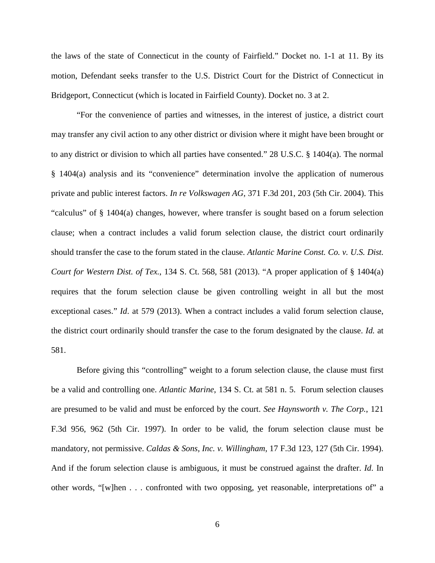the laws of the state of Connecticut in the county of Fairfield." Docket no. 1-1 at 11. By its motion, Defendant seeks transfer to the U.S. District Court for the District of Connecticut in Bridgeport, Connecticut (which is located in Fairfield County). Docket no. 3 at 2.

"For the convenience of parties and witnesses, in the interest of justice, a district court may transfer any civil action to any other district or division where it might have been brought or to any district or division to which all parties have consented." 28 U.S.C. § 1404(a). The normal § 1404(a) analysis and its "convenience" determination involve the application of numerous private and public interest factors. *In re Volkswagen AG*, 371 F.3d 201, 203 (5th Cir. 2004). This "calculus" of § 1404(a) changes, however, where transfer is sought based on a forum selection clause; when a contract includes a valid forum selection clause, the district court ordinarily should transfer the case to the forum stated in the clause. *Atlantic Marine Const. Co. v. U.S. Dist. Court for Western Dist. of Tex.*, 134 S. Ct. 568, 581 (2013). "A proper application of § 1404(a) requires that the forum selection clause be given controlling weight in all but the most exceptional cases." *Id*. at 579 (2013). When a contract includes a valid forum selection clause, the district court ordinarily should transfer the case to the forum designated by the clause. *Id.* at 581.

Before giving this "controlling" weight to a forum selection clause, the clause must first be a valid and controlling one. *Atlantic Marine*, 134 S. Ct. at 581 n. 5. Forum selection clauses are presumed to be valid and must be enforced by the court. *See Haynsworth v. The Corp.*, 121 F.3d 956, 962 (5th Cir. 1997). In order to be valid, the forum selection clause must be mandatory, not permissive. *Caldas & Sons, Inc. v. Willingham*, 17 F.3d 123, 127 (5th Cir. 1994). And if the forum selection clause is ambiguous, it must be construed against the drafter. *Id*. In other words, "[w]hen . . . confronted with two opposing, yet reasonable, interpretations of" a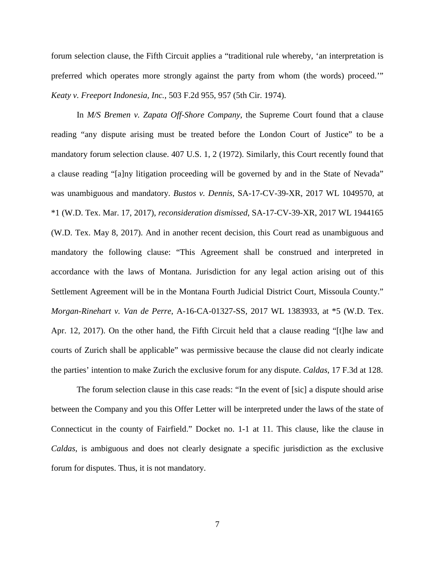forum selection clause, the Fifth Circuit applies a "traditional rule whereby, 'an interpretation is preferred which operates more strongly against the party from whom (the words) proceed.'" *Keaty v. Freeport Indonesia, Inc.*, 503 F.2d 955, 957 (5th Cir. 1974).

In *M/S Bremen v. Zapata Off-Shore Company,* the Supreme Court found that a clause reading "any dispute arising must be treated before the London Court of Justice" to be a mandatory forum selection clause. 407 U.S. 1, 2 (1972). Similarly, this Court recently found that a clause reading "[a]ny litigation proceeding will be governed by and in the State of Nevada" was unambiguous and mandatory. *Bustos v. Dennis*, SA-17-CV-39-XR, 2017 WL 1049570, at \*1 (W.D. Tex. Mar. 17, 2017), *reconsideration dismissed*, SA-17-CV-39-XR, 2017 WL 1944165 (W.D. Tex. May 8, 2017). And in another recent decision, this Court read as unambiguous and mandatory the following clause: "This Agreement shall be construed and interpreted in accordance with the laws of Montana. Jurisdiction for any legal action arising out of this Settlement Agreement will be in the Montana Fourth Judicial District Court, Missoula County." *Morgan-Rinehart v. Van de Perre*, A-16-CA-01327-SS, 2017 WL 1383933, at \*5 (W.D. Tex. Apr. 12, 2017). On the other hand, the Fifth Circuit held that a clause reading "[t]he law and courts of Zurich shall be applicable" was permissive because the clause did not clearly indicate the parties' intention to make Zurich the exclusive forum for any dispute. *Caldas*, 17 F.3d at 128.

The forum selection clause in this case reads: "In the event of [sic] a dispute should arise between the Company and you this Offer Letter will be interpreted under the laws of the state of Connecticut in the county of Fairfield." Docket no. 1-1 at 11. This clause, like the clause in *Caldas*, is ambiguous and does not clearly designate a specific jurisdiction as the exclusive forum for disputes. Thus, it is not mandatory.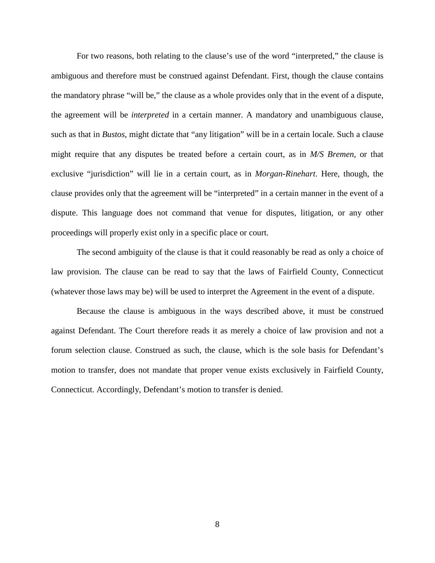For two reasons, both relating to the clause's use of the word "interpreted," the clause is ambiguous and therefore must be construed against Defendant. First, though the clause contains the mandatory phrase "will be," the clause as a whole provides only that in the event of a dispute, the agreement will be *interpreted* in a certain manner. A mandatory and unambiguous clause, such as that in *Bustos*, might dictate that "any litigation" will be in a certain locale. Such a clause might require that any disputes be treated before a certain court, as in *M/S Bremen*, or that exclusive "jurisdiction" will lie in a certain court, as in *Morgan-Rinehart*. Here, though, the clause provides only that the agreement will be "interpreted" in a certain manner in the event of a dispute. This language does not command that venue for disputes, litigation, or any other proceedings will properly exist only in a specific place or court.

The second ambiguity of the clause is that it could reasonably be read as only a choice of law provision. The clause can be read to say that the laws of Fairfield County, Connecticut (whatever those laws may be) will be used to interpret the Agreement in the event of a dispute.

Because the clause is ambiguous in the ways described above, it must be construed against Defendant. The Court therefore reads it as merely a choice of law provision and not a forum selection clause. Construed as such, the clause, which is the sole basis for Defendant's motion to transfer, does not mandate that proper venue exists exclusively in Fairfield County, Connecticut. Accordingly, Defendant's motion to transfer is denied.